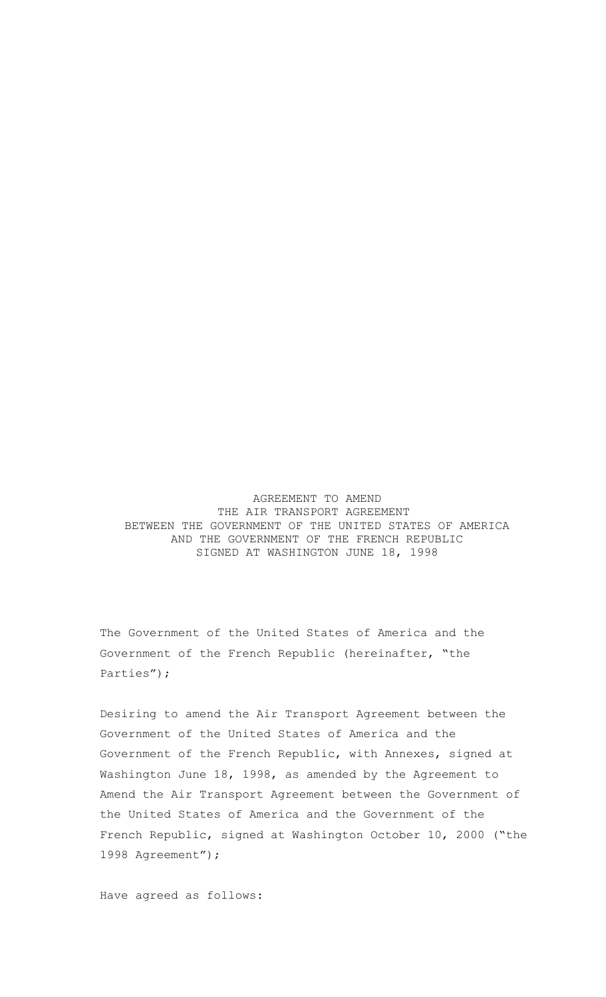AGREEMENT TO AMEND THE AIR TRANSPORT AGREEMENT BETWEEN THE GOVERNMENT OF THE UNITED STATES OF AMERICA AND THE GOVERNMENT OF THE FRENCH REPUBLIC SIGNED AT WASHINGTON JUNE 18, 1998

The Government of the United States of America and the Government of the French Republic (hereinafter, "the Parties");

Desiring to amend the Air Transport Agreement between the Government of the United States of America and the Government of the French Republic, with Annexes, signed at Washington June 18, 1998, as amended by the Agreement to Amend the Air Transport Agreement between the Government of the United States of America and the Government of the French Republic, signed at Washington October 10, 2000 ("the 1998 Agreement");

Have agreed as follows: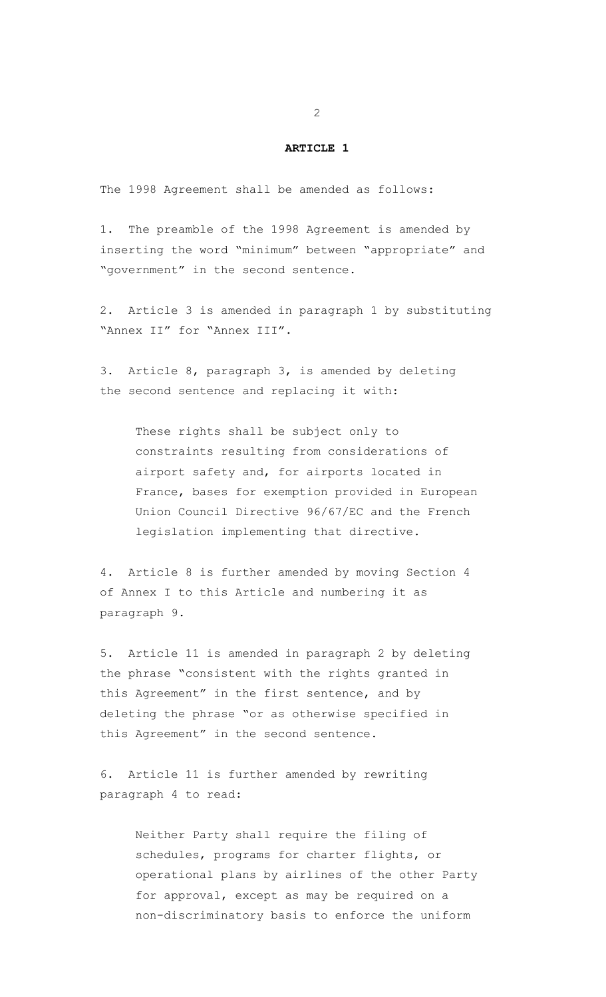#### **ARTICLE 1**

The 1998 Agreement shall be amended as follows:

1. The preamble of the 1998 Agreement is amended by inserting the word "minimum" between "appropriate" and "government" in the second sentence.

2. Article 3 is amended in paragraph 1 by substituting "Annex II" for "Annex III".

3. Article 8, paragraph 3, is amended by deleting the second sentence and replacing it with:

These rights shall be subject only to constraints resulting from considerations of airport safety and, for airports located in France, bases for exemption provided in European Union Council Directive 96/67/EC and the French legislation implementing that directive.

4. Article 8 is further amended by moving Section 4 of Annex I to this Article and numbering it as paragraph 9.

5. Article 11 is amended in paragraph 2 by deleting the phrase "consistent with the rights granted in this Agreement" in the first sentence, and by deleting the phrase "or as otherwise specified in this Agreement" in the second sentence.

6. Article 11 is further amended by rewriting paragraph 4 to read:

> Neither Party shall require the filing of schedules, programs for charter flights, or operational plans by airlines of the other Party for approval, except as may be required on a non-discriminatory basis to enforce the uniform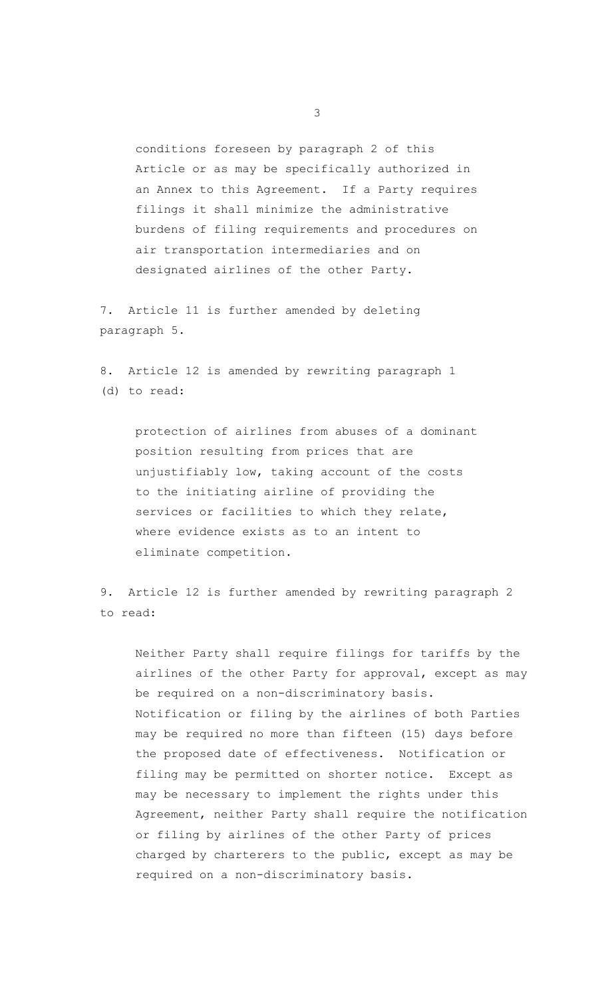conditions foreseen by paragraph 2 of this Article or as may be specifically authorized in an Annex to this Agreement. If a Party requires filings it shall minimize the administrative burdens of filing requirements and procedures on air transportation intermediaries and on designated airlines of the other Party.

7. Article 11 is further amended by deleting paragraph 5.

8. Article 12 is amended by rewriting paragraph 1 (d) to read:

protection of airlines from abuses of a dominant position resulting from prices that are unjustifiably low, taking account of the costs to the initiating airline of providing the services or facilities to which they relate, where evidence exists as to an intent to eliminate competition.

9. Article 12 is further amended by rewriting paragraph 2 to read:

Neither Party shall require filings for tariffs by the airlines of the other Party for approval, except as may be required on a non-discriminatory basis. Notification or filing by the airlines of both Parties may be required no more than fifteen (15) days before the proposed date of effectiveness. Notification or filing may be permitted on shorter notice. Except as may be necessary to implement the rights under this Agreement, neither Party shall require the notification or filing by airlines of the other Party of prices charged by charterers to the public, except as may be required on a non-discriminatory basis.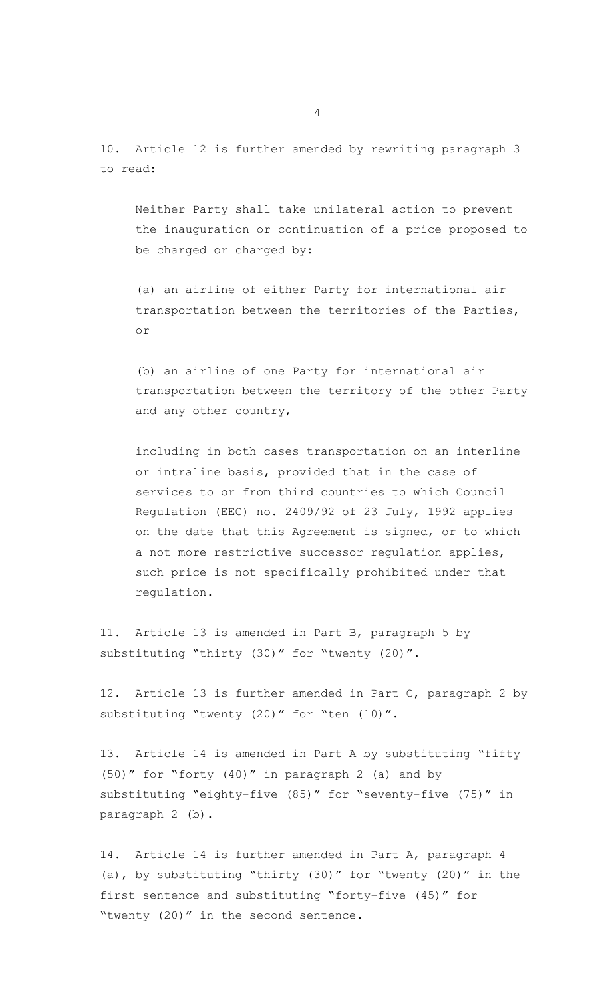10. Article 12 is further amended by rewriting paragraph 3 to read:

Neither Party shall take unilateral action to prevent the inauguration or continuation of a price proposed to be charged or charged by:

(a) an airline of either Party for international air transportation between the territories of the Parties, or

(b) an airline of one Party for international air transportation between the territory of the other Party and any other country,

including in both cases transportation on an interline or intraline basis, provided that in the case of services to or from third countries to which Council Regulation (EEC) no. 2409/92 of 23 July, 1992 applies on the date that this Agreement is signed, or to which a not more restrictive successor regulation applies, such price is not specifically prohibited under that regulation.

11. Article 13 is amended in Part B, paragraph 5 by substituting "thirty (30)" for "twenty (20)".

12. Article 13 is further amended in Part C, paragraph 2 by substituting "twenty (20)" for "ten (10)".

13. Article 14 is amended in Part A by substituting "fifty (50)" for "forty (40)" in paragraph 2 (a) and by substituting "eighty-five (85)" for "seventy-five (75)" in paragraph 2 (b).

14. Article 14 is further amended in Part A, paragraph 4 (a), by substituting "thirty (30)" for "twenty (20)" in the first sentence and substituting "forty-five (45)" for "twenty (20)" in the second sentence.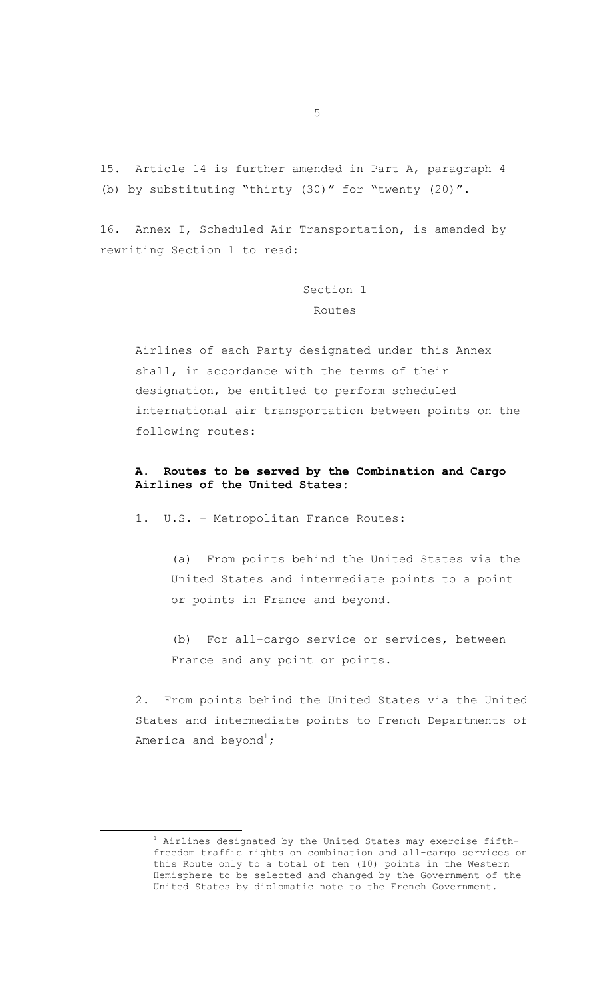15. Article 14 is further amended in Part A, paragraph 4 (b) by substituting "thirty (30)" for "twenty (20)".

16. Annex I, Scheduled Air Transportation, is amended by rewriting Section 1 to read:

> Section 1 Routes

Airlines of each Party designated under this Annex shall, in accordance with the terms of their designation, be entitled to perform scheduled international air transportation between points on the following routes:

### **A. Routes to be served by the Combination and Cargo Airlines of the United States:**

1. U.S. – Metropolitan France Routes:

(a) From points behind the United States via the United States and intermediate points to a point or points in France and beyond.

(b) For all-cargo service or services, between France and any point or points.

2. From points behind the United States via the United States and intermediate points to French Departments of America and beyond $^1\!$  $^1\!$  $^1\!$ 

<span id="page-4-0"></span> $1$  Airlines designated by the United States may exercise fifthfreedom traffic rights on combination and all-cargo services on this Route only to a total of ten (10) points in the Western Hemisphere to be selected and changed by the Government of the United States by diplomatic note to the French Government.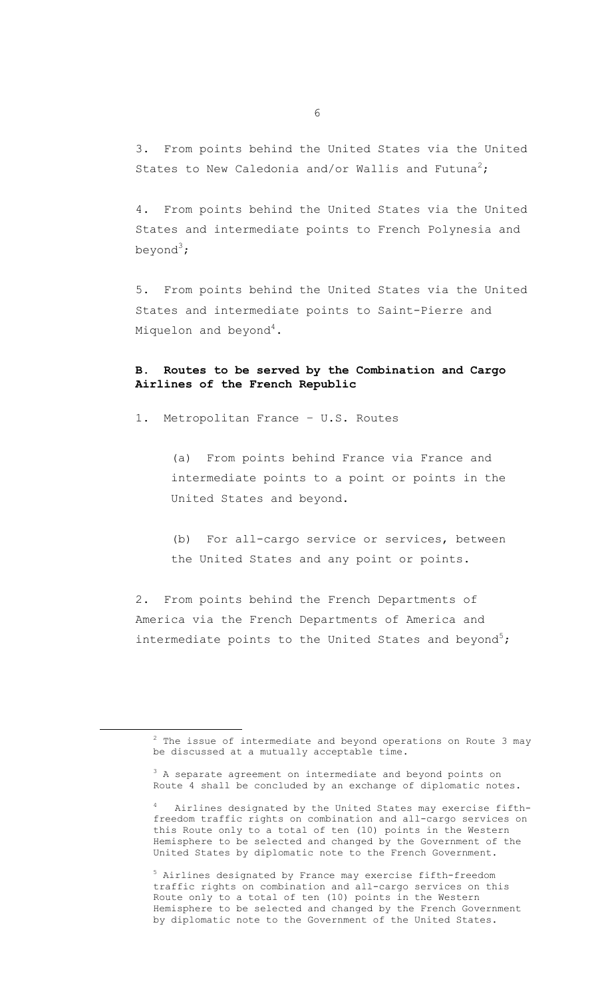3. From points behind the United States via the United States to New Caledonia and/or Wallis and Futuna<sup>[2](#page-5-0)</sup>;

4. From points behind the United States via the United States and intermediate points to French Polynesia and beyond $^3$  $^3$ ;

5. From points behind the United States via the United States and intermediate points to Saint-Pierre and Miquelon and beyond $^4\!$  $^4\!$  $^4\!$ .

# **B. Routes to be served by the Combination and Cargo Airlines of the French Republic**

1. Metropolitan France – U.S. Routes

(a) From points behind France via France and intermediate points to a point or points in the United States and beyond.

(b) For all-cargo service or services, between the United States and any point or points.

2. From points behind the French Departments of America via the French Departments of America and intermediate points to the United States and beyond<sup>[5](#page-5-3)</sup>;

<span id="page-5-3"></span><sup>5</sup> Airlines designated by France may exercise fifth-freedom traffic rights on combination and all-cargo services on this Route only to a total of ten (10) points in the Western Hemisphere to be selected and changed by the French Government by diplomatic note to the Government of the United States.

<span id="page-5-0"></span> $2$  The issue of intermediate and beyond operations on Route 3 may be discussed at a mutually acceptable time.

<span id="page-5-1"></span><sup>&</sup>lt;sup>3</sup> A separate agreement on intermediate and beyond points on Route 4 shall be concluded by an exchange of diplomatic notes.

<span id="page-5-2"></span><sup>4</sup> Airlines designated by the United States may exercise fifthfreedom traffic rights on combination and all-cargo services on this Route only to a total of ten (10) points in the Western Hemisphere to be selected and changed by the Government of the United States by diplomatic note to the French Government.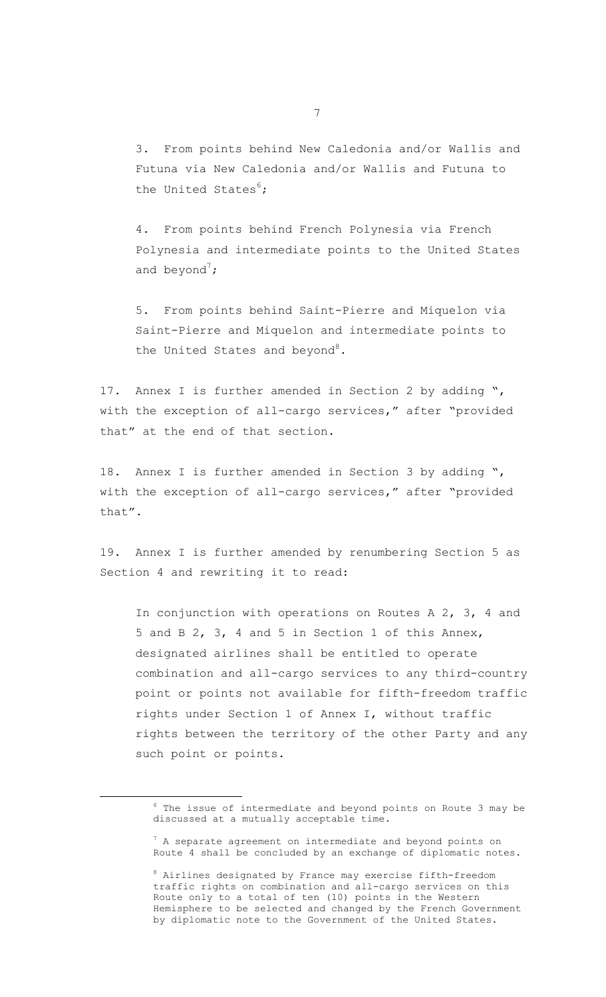3. From points behind New Caledonia and/or Wallis and Futuna via New Caledonia and/or Wallis and Futuna to the United States $6$ ;

4. From points behind French Polynesia via French Polynesia and intermediate points to the United States and beyond<sup>[7](#page-6-1)</sup>;

5. From points behind Saint-Pierre and Miquelon via Saint-Pierre and Miquelon and intermediate points to the United States and beyond<sup>[8](#page-6-2)</sup>.

17. Annex I is further amended in Section 2 by adding ", with the exception of all-cargo services," after "provided that" at the end of that section.

18. Annex I is further amended in Section 3 by adding ", with the exception of all-cargo services," after "provided that".

19. Annex I is further amended by renumbering Section 5 as Section 4 and rewriting it to read:

In conjunction with operations on Routes A 2, 3, 4 and 5 and B 2, 3, 4 and 5 in Section 1 of this Annex, designated airlines shall be entitled to operate combination and all-cargo services to any third-country point or points not available for fifth-freedom traffic rights under Section 1 of Annex I, without traffic rights between the territory of the other Party and any such point or points.

<span id="page-6-0"></span> $6$  The issue of intermediate and beyond points on Route 3 may be discussed at a mutually acceptable time.

<span id="page-6-1"></span><sup>&</sup>lt;sup>7</sup> A separate agreement on intermediate and beyond points on Route 4 shall be concluded by an exchange of diplomatic notes.

<span id="page-6-2"></span><sup>8</sup> Airlines designated by France may exercise fifth-freedom traffic rights on combination and all-cargo services on this Route only to a total of ten (10) points in the Western Hemisphere to be selected and changed by the French Government by diplomatic note to the Government of the United States.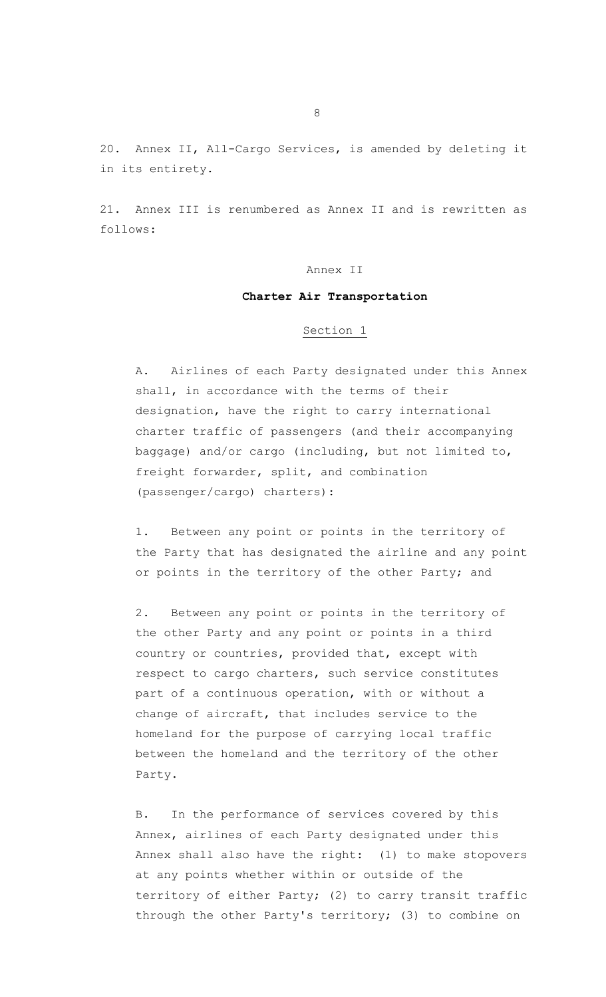20. Annex II, All-Cargo Services, is amended by deleting it in its entirety.

21. Annex III is renumbered as Annex II and is rewritten as follows:

### Annex II

## **Charter Air Transportation**

#### Section 1

A. Airlines of each Party designated under this Annex shall, in accordance with the terms of their designation, have the right to carry international charter traffic of passengers (and their accompanying baggage) and/or cargo (including, but not limited to, freight forwarder, split, and combination (passenger/cargo) charters):

1. Between any point or points in the territory of the Party that has designated the airline and any point or points in the territory of the other Party; and

2. Between any point or points in the territory of the other Party and any point or points in a third country or countries, provided that, except with respect to cargo charters, such service constitutes part of a continuous operation, with or without a change of aircraft, that includes service to the homeland for the purpose of carrying local traffic between the homeland and the territory of the other Party.

B. In the performance of services covered by this Annex, airlines of each Party designated under this Annex shall also have the right: (1) to make stopovers at any points whether within or outside of the territory of either Party; (2) to carry transit traffic through the other Party's territory; (3) to combine on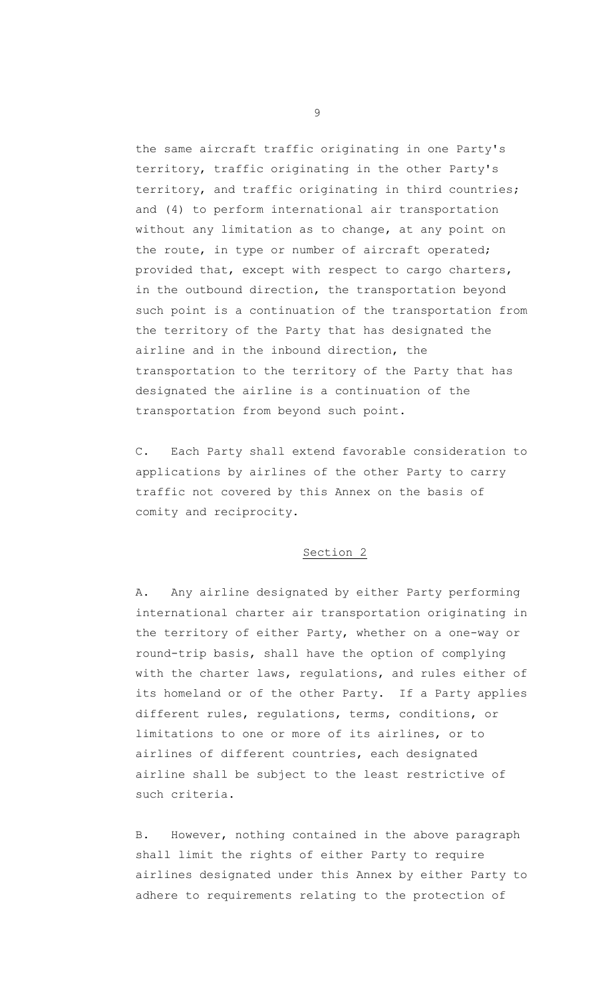the same aircraft traffic originating in one Party's territory, traffic originating in the other Party's territory, and traffic originating in third countries; and (4) to perform international air transportation without any limitation as to change, at any point on the route, in type or number of aircraft operated; provided that, except with respect to cargo charters, in the outbound direction, the transportation beyond such point is a continuation of the transportation from the territory of the Party that has designated the airline and in the inbound direction, the transportation to the territory of the Party that has designated the airline is a continuation of the transportation from beyond such point.

C. Each Party shall extend favorable consideration to applications by airlines of the other Party to carry traffic not covered by this Annex on the basis of comity and reciprocity.

# Section 2

A. Any airline designated by either Party performing international charter air transportation originating in the territory of either Party, whether on a one-way or round-trip basis, shall have the option of complying with the charter laws, regulations, and rules either of its homeland or of the other Party. If a Party applies different rules, regulations, terms, conditions, or limitations to one or more of its airlines, or to airlines of different countries, each designated airline shall be subject to the least restrictive of such criteria.

B. However, nothing contained in the above paragraph shall limit the rights of either Party to require airlines designated under this Annex by either Party to adhere to requirements relating to the protection of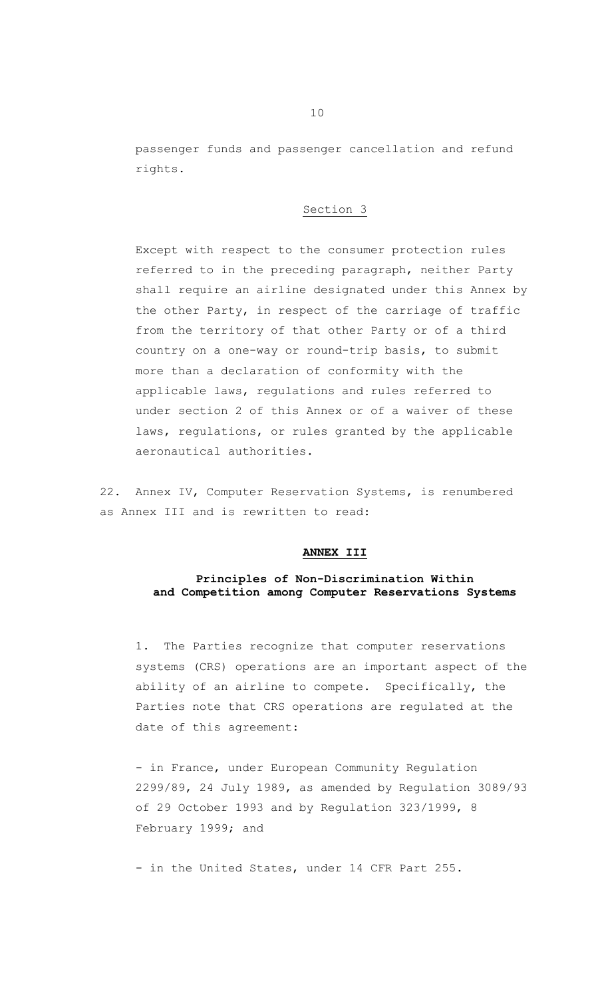passenger funds and passenger cancellation and refund rights.

## Section 3

Except with respect to the consumer protection rules referred to in the preceding paragraph, neither Party shall require an airline designated under this Annex by the other Party, in respect of the carriage of traffic from the territory of that other Party or of a third country on a one-way or round-trip basis, to submit more than a declaration of conformity with the applicable laws, regulations and rules referred to under section 2 of this Annex or of a waiver of these laws, regulations, or rules granted by the applicable aeronautical authorities.

22. Annex IV, Computer Reservation Systems, is renumbered as Annex III and is rewritten to read:

#### **ANNEX III**

## **Principles of Non-Discrimination Within and Competition among Computer Reservations Systems**

1. The Parties recognize that computer reservations systems (CRS) operations are an important aspect of the ability of an airline to compete. Specifically, the Parties note that CRS operations are regulated at the date of this agreement:

- in France, under European Community Regulation 2299/89, 24 July 1989, as amended by Regulation 3089/93 of 29 October 1993 and by Regulation 323/1999, 8 February 1999; and

- in the United States, under 14 CFR Part 255.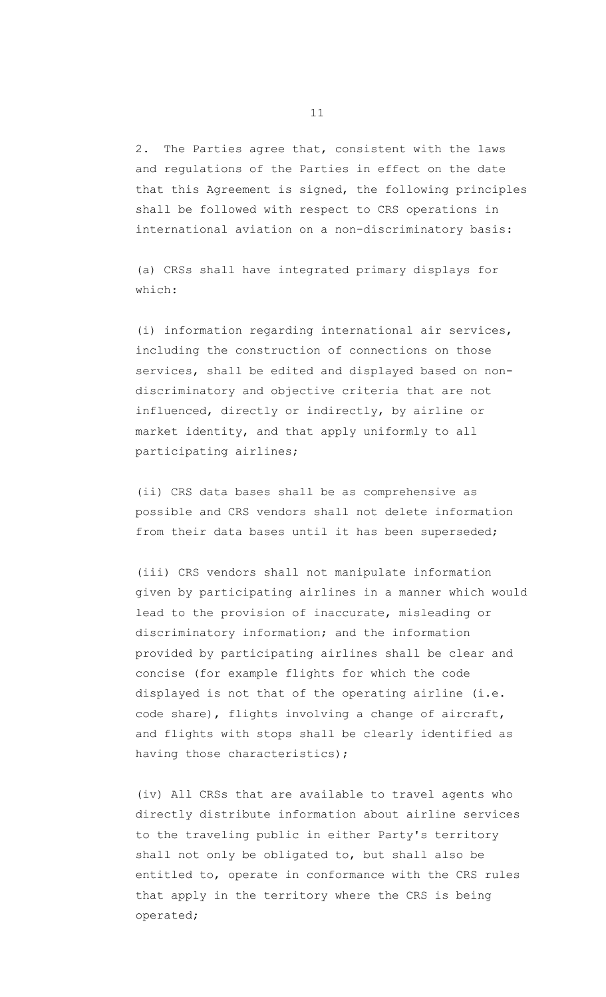2. The Parties agree that, consistent with the laws and regulations of the Parties in effect on the date that this Agreement is signed, the following principles shall be followed with respect to CRS operations in international aviation on a non-discriminatory basis:

(a) CRSs shall have integrated primary displays for which:

(i) information regarding international air services, including the construction of connections on those services, shall be edited and displayed based on nondiscriminatory and objective criteria that are not influenced, directly or indirectly, by airline or market identity, and that apply uniformly to all participating airlines;

(ii) CRS data bases shall be as comprehensive as possible and CRS vendors shall not delete information from their data bases until it has been superseded;

(iii) CRS vendors shall not manipulate information given by participating airlines in a manner which would lead to the provision of inaccurate, misleading or discriminatory information; and the information provided by participating airlines shall be clear and concise (for example flights for which the code displayed is not that of the operating airline (i.e. code share), flights involving a change of aircraft, and flights with stops shall be clearly identified as having those characteristics);

(iv) All CRSs that are available to travel agents who directly distribute information about airline services to the traveling public in either Party's territory shall not only be obligated to, but shall also be entitled to, operate in conformance with the CRS rules that apply in the territory where the CRS is being operated;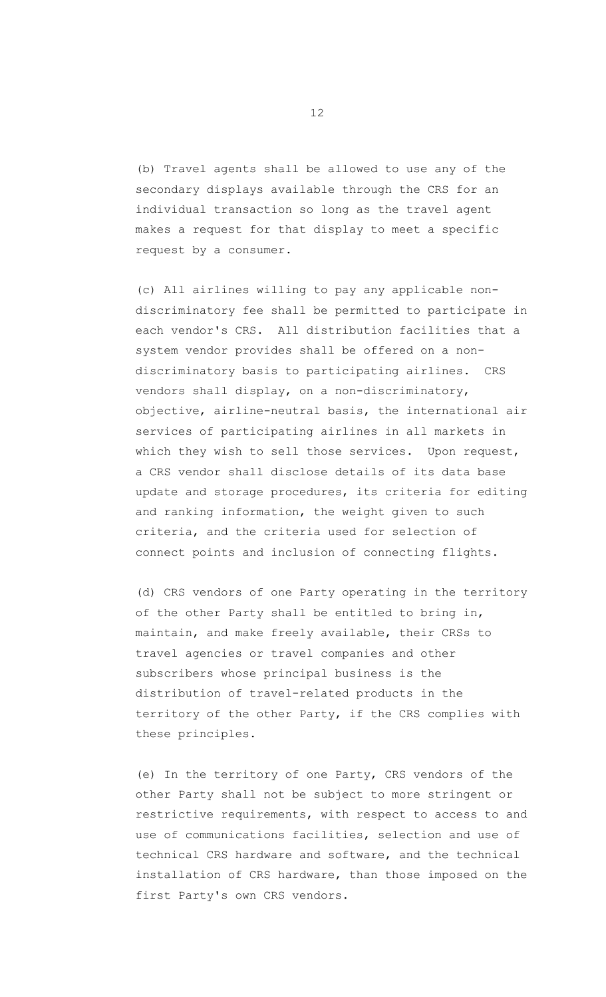(b) Travel agents shall be allowed to use any of the secondary displays available through the CRS for an individual transaction so long as the travel agent makes a request for that display to meet a specific request by a consumer.

(c) All airlines willing to pay any applicable nondiscriminatory fee shall be permitted to participate in each vendor's CRS. All distribution facilities that a system vendor provides shall be offered on a nondiscriminatory basis to participating airlines. CRS vendors shall display, on a non-discriminatory, objective, airline-neutral basis, the international air services of participating airlines in all markets in which they wish to sell those services. Upon request, a CRS vendor shall disclose details of its data base update and storage procedures, its criteria for editing and ranking information, the weight given to such criteria, and the criteria used for selection of connect points and inclusion of connecting flights.

(d) CRS vendors of one Party operating in the territory of the other Party shall be entitled to bring in, maintain, and make freely available, their CRSs to travel agencies or travel companies and other subscribers whose principal business is the distribution of travel-related products in the territory of the other Party, if the CRS complies with these principles.

(e) In the territory of one Party, CRS vendors of the other Party shall not be subject to more stringent or restrictive requirements, with respect to access to and use of communications facilities, selection and use of technical CRS hardware and software, and the technical installation of CRS hardware, than those imposed on the first Party's own CRS vendors.